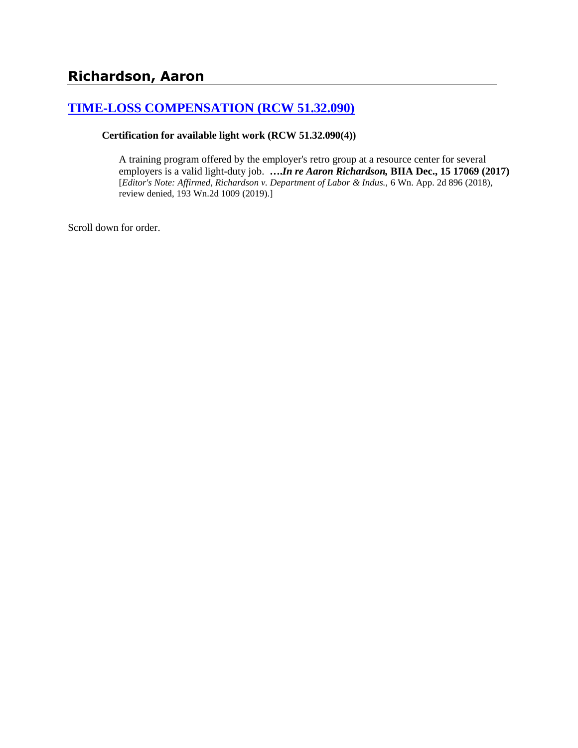# **[TIME-LOSS COMPENSATION \(RCW 51.32.090\)](http://www.biia.wa.gov/SDSubjectIndex.html#TIME_LOSS_COMPENSATION)**

**Certification for available light work (RCW 51.32.090(4))**

A training program offered by the employer's retro group at a resource center for several employers is a valid light-duty job. **….***In re Aaron Richardson,* **BIIA Dec., 15 17069 (2017)** [*Editor's Note: Affirmed, Richardson v. Department of Labor & Indus.,* 6 Wn. App. 2d 896 (2018), review denied, 193 Wn.2d 1009 (2019).]

Scroll down for order.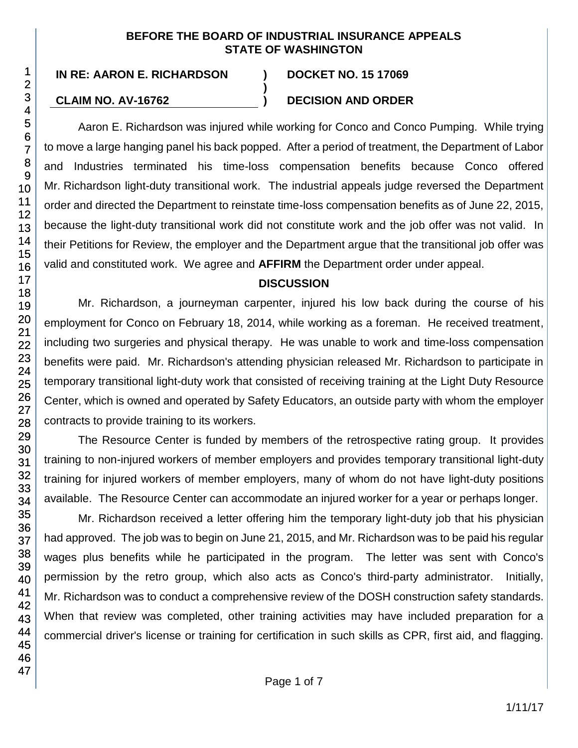#### **BEFORE THE BOARD OF INDUSTRIAL INSURANCE APPEALS STATE OF WASHINGTON**

**)**

#### **CLAIM NO. AV-16762 ) DECISION AND ORDER**

Aaron E. Richardson was injured while working for Conco and Conco Pumping. While trying to move a large hanging panel his back popped. After a period of treatment, the Department of Labor and Industries terminated his time-loss compensation benefits because Conco offered Mr. Richardson light-duty transitional work. The industrial appeals judge reversed the Department order and directed the Department to reinstate time-loss compensation benefits as of June 22, 2015, because the light-duty transitional work did not constitute work and the job offer was not valid. In their Petitions for Review, the employer and the Department argue that the transitional job offer was valid and constituted work. We agree and **AFFIRM** the Department order under appeal.

### **DISCUSSION**

Mr. Richardson, a journeyman carpenter, injured his low back during the course of his employment for Conco on February 18, 2014, while working as a foreman. He received treatment, including two surgeries and physical therapy. He was unable to work and time-loss compensation benefits were paid. Mr. Richardson's attending physician released Mr. Richardson to participate in temporary transitional light-duty work that consisted of receiving training at the Light Duty Resource Center, which is owned and operated by Safety Educators, an outside party with whom the employer contracts to provide training to its workers.

The Resource Center is funded by members of the retrospective rating group. It provides training to non-injured workers of member employers and provides temporary transitional light-duty training for injured workers of member employers, many of whom do not have light-duty positions available. The Resource Center can accommodate an injured worker for a year or perhaps longer.

Mr. Richardson received a letter offering him the temporary light-duty job that his physician had approved. The job was to begin on June 21, 2015, and Mr. Richardson was to be paid his regular wages plus benefits while he participated in the program. The letter was sent with Conco's permission by the retro group, which also acts as Conco's third-party administrator. Initially, Mr. Richardson was to conduct a comprehensive review of the DOSH construction safety standards. When that review was completed, other training activities may have included preparation for a commercial driver's license or training for certification in such skills as CPR, first aid, and flagging.

1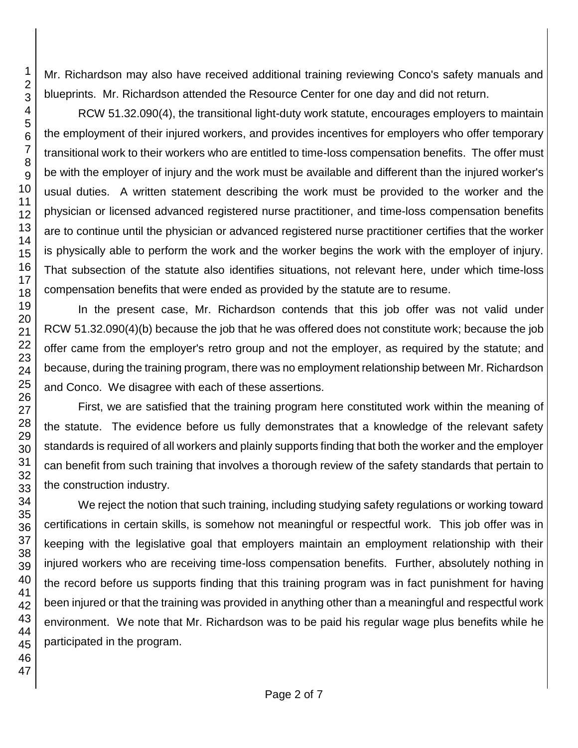Mr. Richardson may also have received additional training reviewing Conco's safety manuals and blueprints. Mr. Richardson attended the Resource Center for one day and did not return.

RCW 51.32.090(4), the transitional light-duty work statute, encourages employers to maintain the employment of their injured workers, and provides incentives for employers who offer temporary transitional work to their workers who are entitled to time-loss compensation benefits. The offer must be with the employer of injury and the work must be available and different than the injured worker's usual duties. A written statement describing the work must be provided to the worker and the physician or licensed advanced registered nurse practitioner, and time-loss compensation benefits are to continue until the physician or advanced registered nurse practitioner certifies that the worker is physically able to perform the work and the worker begins the work with the employer of injury. That subsection of the statute also identifies situations, not relevant here, under which time-loss compensation benefits that were ended as provided by the statute are to resume.

In the present case, Mr. Richardson contends that this job offer was not valid under RCW 51.32.090(4)(b) because the job that he was offered does not constitute work; because the job offer came from the employer's retro group and not the employer, as required by the statute; and because, during the training program, there was no employment relationship between Mr. Richardson and Conco. We disagree with each of these assertions.

First, we are satisfied that the training program here constituted work within the meaning of the statute. The evidence before us fully demonstrates that a knowledge of the relevant safety standards is required of all workers and plainly supports finding that both the worker and the employer can benefit from such training that involves a thorough review of the safety standards that pertain to the construction industry.

We reject the notion that such training, including studying safety regulations or working toward certifications in certain skills, is somehow not meaningful or respectful work. This job offer was in keeping with the legislative goal that employers maintain an employment relationship with their injured workers who are receiving time-loss compensation benefits. Further, absolutely nothing in the record before us supports finding that this training program was in fact punishment for having been injured or that the training was provided in anything other than a meaningful and respectful work environment. We note that Mr. Richardson was to be paid his regular wage plus benefits while he participated in the program.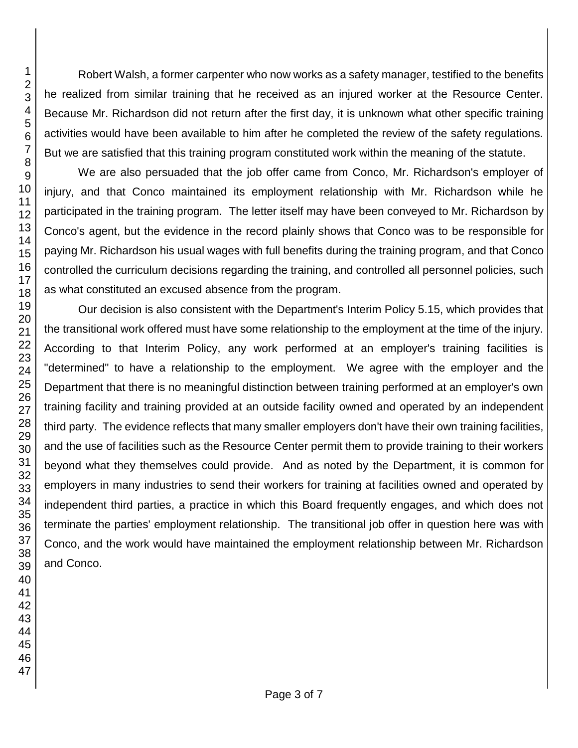Robert Walsh, a former carpenter who now works as a safety manager, testified to the benefits he realized from similar training that he received as an injured worker at the Resource Center. Because Mr. Richardson did not return after the first day, it is unknown what other specific training activities would have been available to him after he completed the review of the safety regulations. But we are satisfied that this training program constituted work within the meaning of the statute.

We are also persuaded that the job offer came from Conco, Mr. Richardson's employer of injury, and that Conco maintained its employment relationship with Mr. Richardson while he participated in the training program. The letter itself may have been conveyed to Mr. Richardson by Conco's agent, but the evidence in the record plainly shows that Conco was to be responsible for paying Mr. Richardson his usual wages with full benefits during the training program, and that Conco controlled the curriculum decisions regarding the training, and controlled all personnel policies, such as what constituted an excused absence from the program.

Our decision is also consistent with the Department's Interim Policy 5.15, which provides that the transitional work offered must have some relationship to the employment at the time of the injury. According to that Interim Policy, any work performed at an employer's training facilities is "determined" to have a relationship to the employment. We agree with the employer and the Department that there is no meaningful distinction between training performed at an employer's own training facility and training provided at an outside facility owned and operated by an independent third party. The evidence reflects that many smaller employers don't have their own training facilities, and the use of facilities such as the Resource Center permit them to provide training to their workers beyond what they themselves could provide. And as noted by the Department, it is common for employers in many industries to send their workers for training at facilities owned and operated by independent third parties, a practice in which this Board frequently engages, and which does not terminate the parties' employment relationship. The transitional job offer in question here was with Conco, and the work would have maintained the employment relationship between Mr. Richardson and Conco.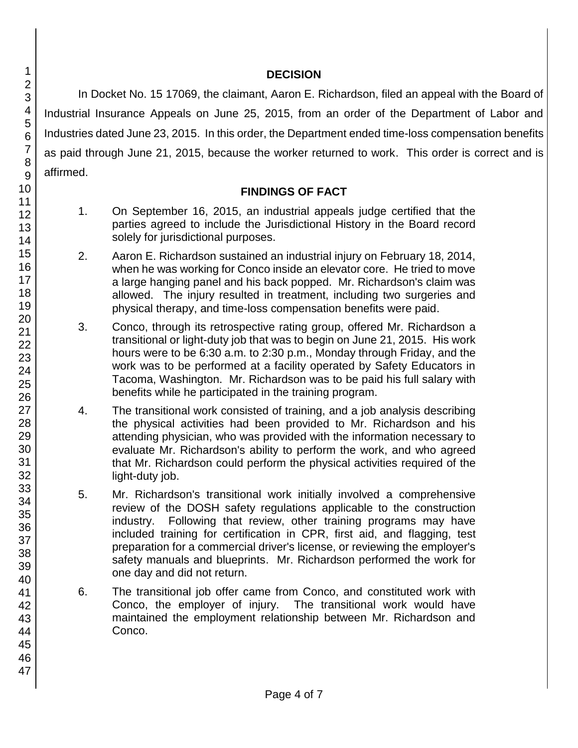#### **DECISION**

In Docket No. 15 17069, the claimant, Aaron E. Richardson, filed an appeal with the Board of Industrial Insurance Appeals on June 25, 2015, from an order of the Department of Labor and Industries dated June 23, 2015. In this order, the Department ended time-loss compensation benefits as paid through June 21, 2015, because the worker returned to work. This order is correct and is affirmed.

#### **FINDINGS OF FACT**

- 1. On September 16, 2015, an industrial appeals judge certified that the parties agreed to include the Jurisdictional History in the Board record solely for jurisdictional purposes.
- 2. Aaron E. Richardson sustained an industrial injury on February 18, 2014, when he was working for Conco inside an elevator core. He tried to move a large hanging panel and his back popped. Mr. Richardson's claim was allowed. The injury resulted in treatment, including two surgeries and physical therapy, and time-loss compensation benefits were paid.
- 3. Conco, through its retrospective rating group, offered Mr. Richardson a transitional or light-duty job that was to begin on June 21, 2015. His work hours were to be 6:30 a.m. to 2:30 p.m., Monday through Friday, and the work was to be performed at a facility operated by Safety Educators in Tacoma, Washington. Mr. Richardson was to be paid his full salary with benefits while he participated in the training program.
- 4. The transitional work consisted of training, and a job analysis describing the physical activities had been provided to Mr. Richardson and his attending physician, who was provided with the information necessary to evaluate Mr. Richardson's ability to perform the work, and who agreed that Mr. Richardson could perform the physical activities required of the light-duty job.
- 5. Mr. Richardson's transitional work initially involved a comprehensive review of the DOSH safety regulations applicable to the construction industry. Following that review, other training programs may have included training for certification in CPR, first aid, and flagging, test preparation for a commercial driver's license, or reviewing the employer's safety manuals and blueprints. Mr. Richardson performed the work for one day and did not return.
- 6. The transitional job offer came from Conco, and constituted work with Conco, the employer of injury. The transitional work would have maintained the employment relationship between Mr. Richardson and Conco.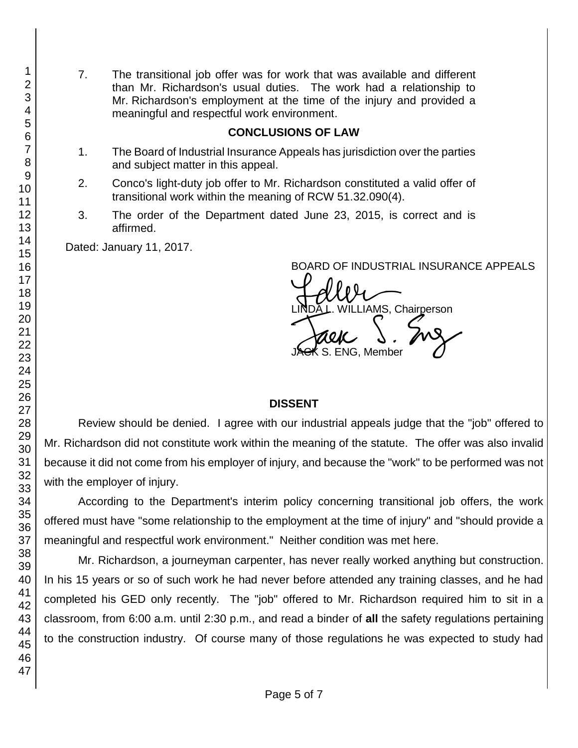7. The transitional job offer was for work that was available and different than Mr. Richardson's usual duties. The work had a relationship to Mr. Richardson's employment at the time of the injury and provided a meaningful and respectful work environment.

#### **CONCLUSIONS OF LAW**

- 1. The Board of Industrial Insurance Appeals has jurisdiction over the parties and subject matter in this appeal.
- 2. Conco's light-duty job offer to Mr. Richardson constituted a valid offer of transitional work within the meaning of RCW 51.32.090(4).
- 3. The order of the Department dated June 23, 2015, is correct and is affirmed.

Dated: January 11, 2017.

BOARD OF INDUSTRIAL INSURANCE APPEALS<br>
UNIXUS Christenes LINDA L. WILLIAMS, Chairperson<br>JAGK S. ENG, Member . ENG, Member

#### **DISSENT**

Review should be denied. I agree with our industrial appeals judge that the "job" offered to Mr. Richardson did not constitute work within the meaning of the statute. The offer was also invalid because it did not come from his employer of injury, and because the "work" to be performed was not with the employer of injury.

According to the Department's interim policy concerning transitional job offers, the work offered must have "some relationship to the employment at the time of injury" and "should provide a meaningful and respectful work environment." Neither condition was met here.

Mr. Richardson, a journeyman carpenter, has never really worked anything but construction. In his 15 years or so of such work he had never before attended any training classes, and he had completed his GED only recently. The "job" offered to Mr. Richardson required him to sit in a classroom, from 6:00 a.m. until 2:30 p.m., and read a binder of **all** the safety regulations pertaining to the construction industry. Of course many of those regulations he was expected to study had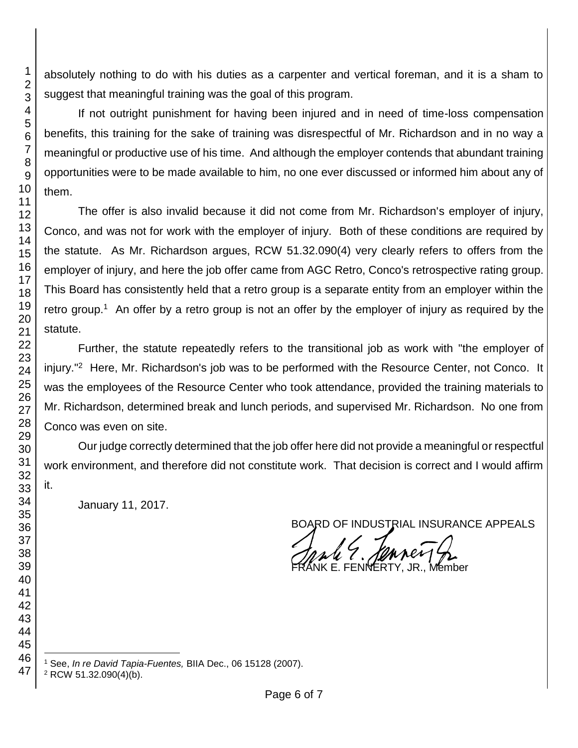absolutely nothing to do with his duties as a carpenter and vertical foreman, and it is a sham to suggest that meaningful training was the goal of this program.

If not outright punishment for having been injured and in need of time-loss compensation benefits, this training for the sake of training was disrespectful of Mr. Richardson and in no way a meaningful or productive use of his time. And although the employer contends that abundant training opportunities were to be made available to him, no one ever discussed or informed him about any of them.

The offer is also invalid because it did not come from Mr. Richardson's employer of injury, Conco, and was not for work with the employer of injury. Both of these conditions are required by the statute. As Mr. Richardson argues, RCW 51.32.090(4) very clearly refers to offers from the employer of injury, and here the job offer came from AGC Retro, Conco's retrospective rating group. This Board has consistently held that a retro group is a separate entity from an employer within the retro group.<sup>1</sup> An offer by a retro group is not an offer by the employer of injury as required by the statute.

Further, the statute repeatedly refers to the transitional job as work with "the employer of injury."<sup>2</sup> Here, Mr. Richardson's job was to be performed with the Resource Center, not Conco. It was the employees of the Resource Center who took attendance, provided the training materials to Mr. Richardson, determined break and lunch periods, and supervised Mr. Richardson. No one from Conco was even on site.

Our judge correctly determined that the job offer here did not provide a meaningful or respectful work environment, and therefore did not constitute work. That decision is correct and I would affirm it.

January 11, 2017.

BOARD OF INDUSTRIAL INSURANCE APPEALS

E. FENNERTY,

l See, *In re David Tapia-Fuentes,* BIIA Dec., 06 15128 (2007).

RCW 51.32.090(4)(b).